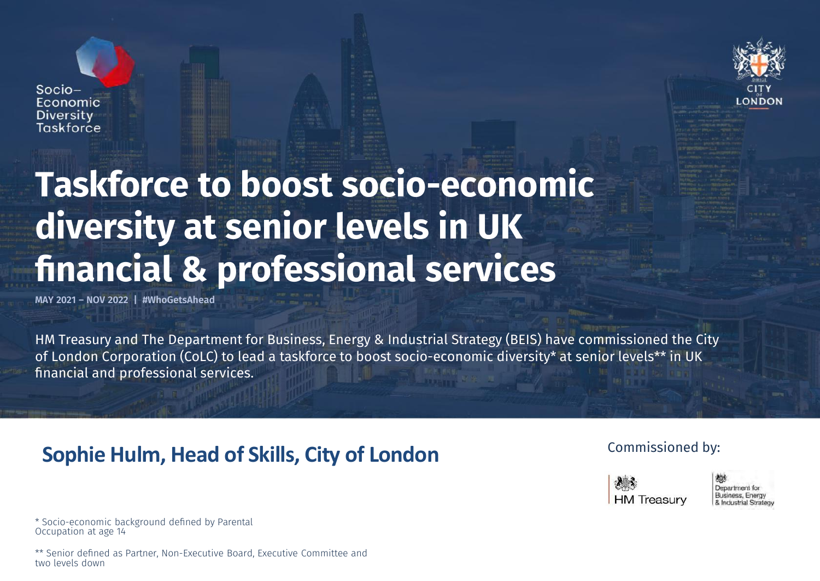## Taskforce to boost socio-economic diversity at senior levels in UK financial & professional services

MAY 2021 – NOV 2022 | #WhoGetsAhead

 $Socio-$ Economic **Diversity** Taskforce

HM Treasury and The Department for Business, Energy & Industrial Strategy (BEIS) have commissioned the City of London Corporation (CoLC) to lead a taskforce to boost socio-economic diversity\* at senior levels\*\* in UK financial and professional services.

### **Sophie Hulm, Head of Skills, City of London**

Commissioned by:

**HM** Treasurv

Department for Business, Energy & Industrial Strategy

\* Socio-economic background defined by Parental Occupation at age 14

\*\* Senior defined as Partner, Non-Executive Board, Executive Committee and two levels down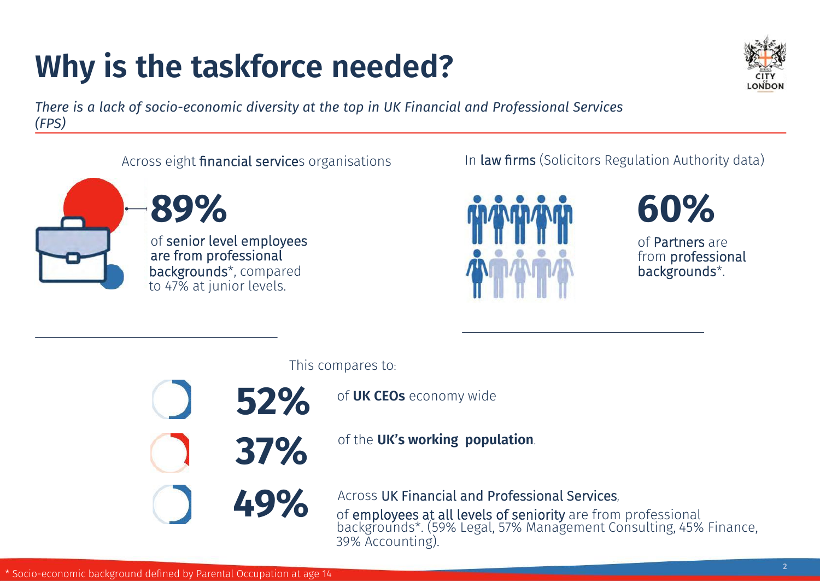# Why is the taskforce needed?



There is a lack of socio-economic diversity at the top in UK Financial and Professional Services (FPS)

#### Across eight financial services organisations

37%

52%







#### In law firms (Solicitors Regulation Authority data)



of Partners are from professional backgrounds\*.

This compares to:

of UK CEOs economy wide

of the UK's working population.

Across UK Financial and Professional Services,<br>of employees at all levels of seniority are from professional<br>CREATER Across UK Financial and Professional Services, backgrounds\*. (59% Legal, 57% Management Consulting, 45% Finance, 39% Accounting).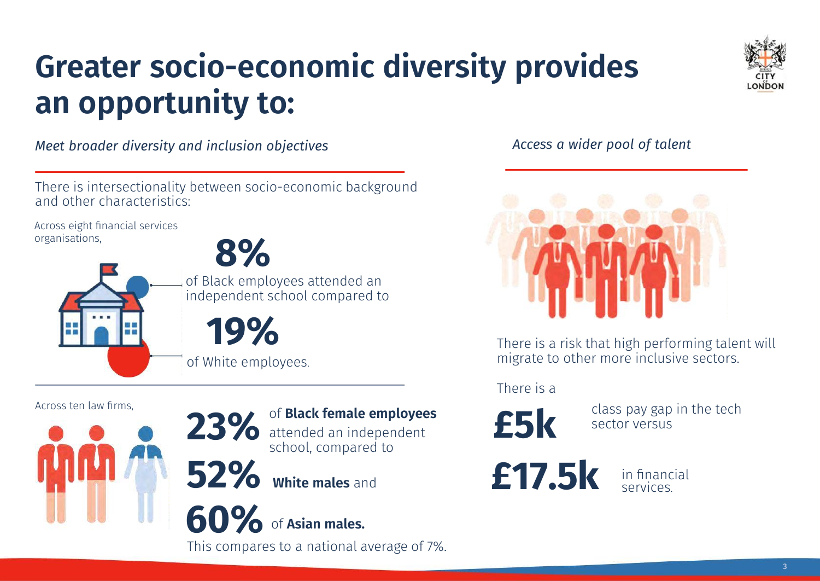### Greater socio-economic diversity provides an opportunity to:



Meet broader diversity and inclusion objectives

There is intersectionality between socio-economic background and other characteristics:

Across eight financial services organisations,

8% of Black employees attended an independent school compared to

19% of White employees.



Across ten law firms,

23% attended an independent school, compared to

52% White males and

**60%** of Asian males.

This compares to a national average of 7%.

Access a wider pool of talent



There is a risk that high performing talent will migrate to other more inclusive sectors.

There is a

£5k

£17.5k

class pay gap in the tech sector versus

> in financial services.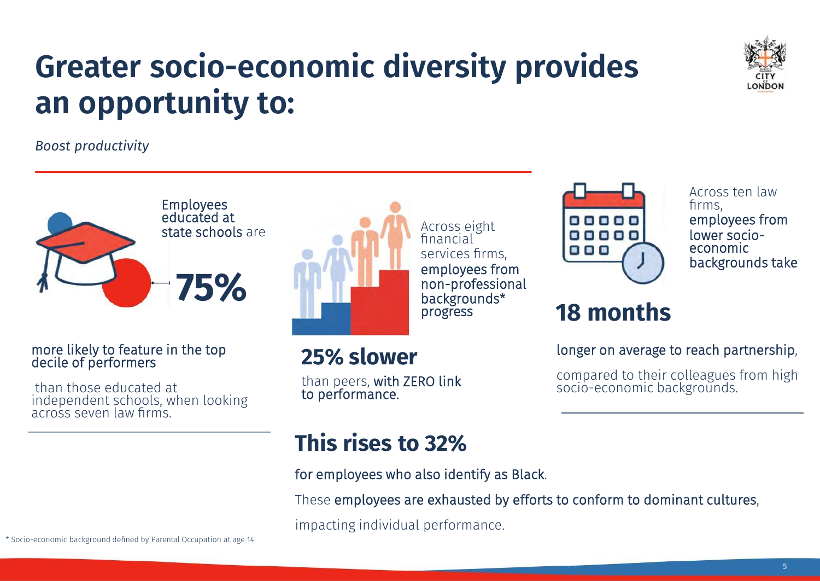### Greater socio-economic diversity provides an opportunity to:



Boost productivity



#### more likely to feature in the top decile of performers

than those educated at independent schools, when looking across seven law firms.



# 25% slower

than peers, with ZERO link to performance.



Across ten law firms, employees from lower socioeconomic backgrounds take

### 18 months

longer on average to reach partnership,

compared to their colleagues from high socio-economic backgrounds.

### This rises to 32%

for employees who also identify as Black.

financial

progress

These employees are exhausted by efforts to conform to dominant cultures,

impacting individual performance.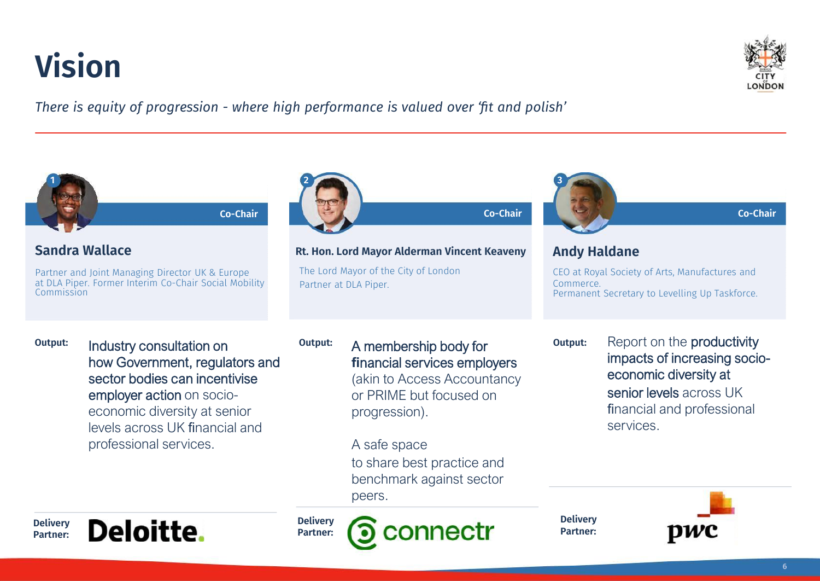## Vision



There is equity of progression - where high performance is valued over 'fit and polish'

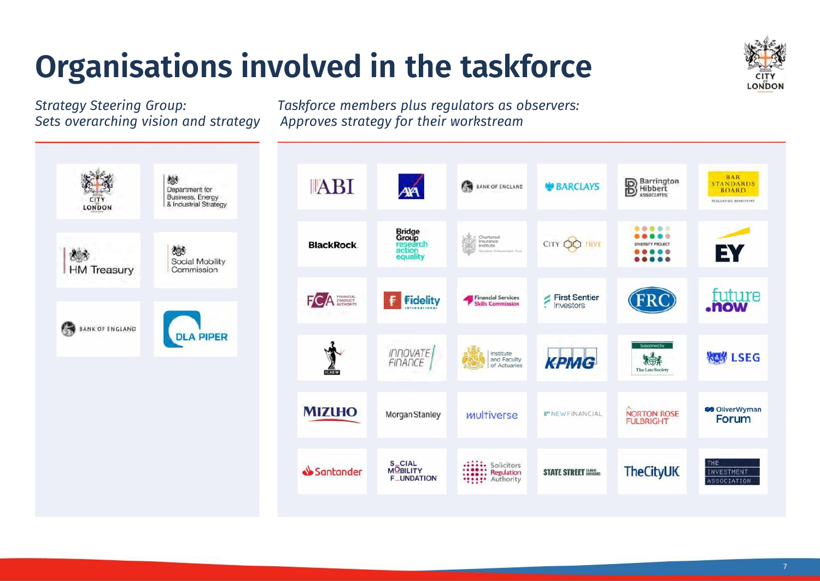# Organisations involved in the taskforce



Strategy Steering Group: Taskforce members plus regulators as observers: Sets overarching vision and strategy Approves strategy for their workstream



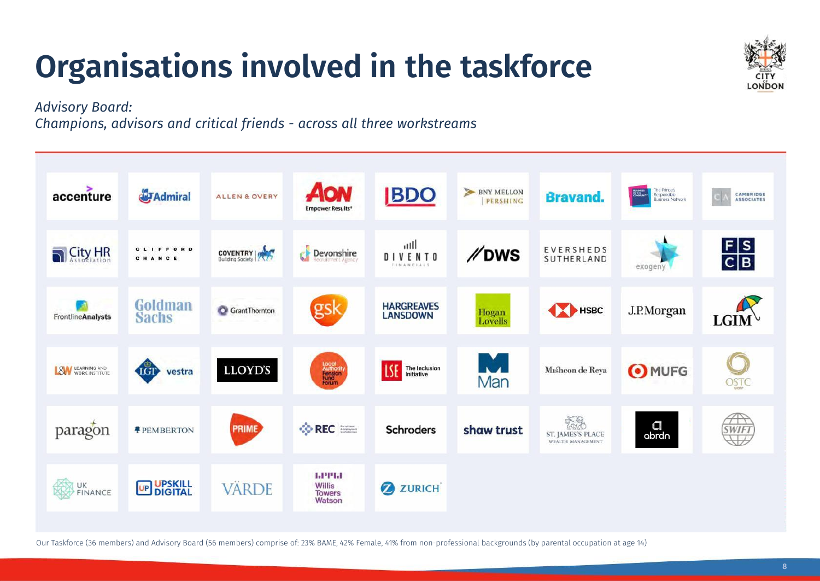## Organisations involved in the taskforce



Advisory Board:

Champions, advisors and critical friends - across all three workstreams



Our Taskforce (36 members) and Advisory Board (56 members) comprise of: 23% BAME, 42% Female, 41% from non-professional backgrounds (by parental occupation at age 14)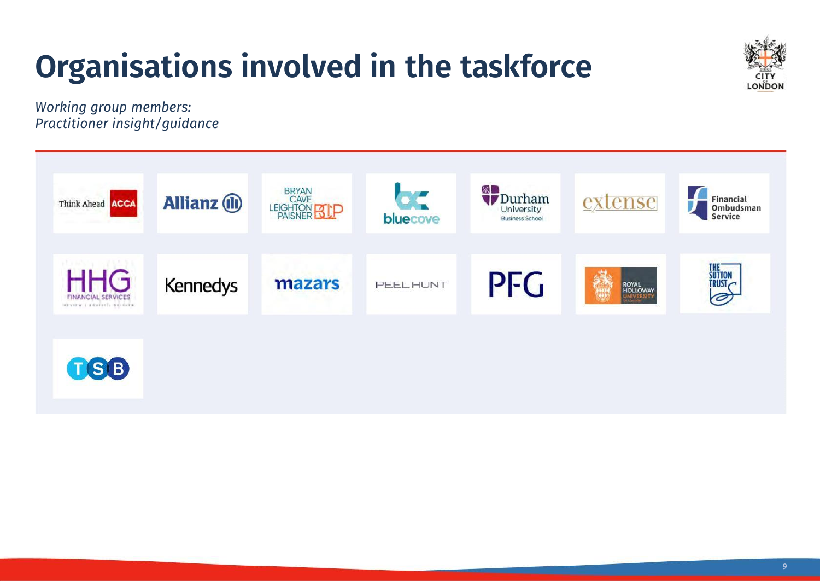# Organisations involved in the taskforce



Working group members: Practitioner insight/guidance

| Think Ahead <b>ACCA</b><br>when the company of the com-            | <b>Allianz (II)</b> | <b>BRYAN</b><br>CAVE<br>LEIGHTON <b>SLP</b> | $\mathbf{p}^{\prime}$<br>bluecove | 累口<br><i>Durham</i><br>University<br><b>Business School</b> | extense                               | Financial<br>Ombudsman<br><b>Service</b> |
|--------------------------------------------------------------------|---------------------|---------------------------------------------|-----------------------------------|-------------------------------------------------------------|---------------------------------------|------------------------------------------|
| <b>HHG</b><br><b>FINANCIAL SERVICES</b><br>MENTW   KANTST   BELGIK | <b>Kennedys</b>     | mazars                                      | PEEL HUNT                         | PFG                                                         | 建筑<br>ROYAL<br>HOLLOWAY<br>UNIVERSITY | <b>THE</b><br>SUTTON<br>TRUST<br>Ø)      |
| TSB                                                                |                     |                                             |                                   |                                                             |                                       |                                          |